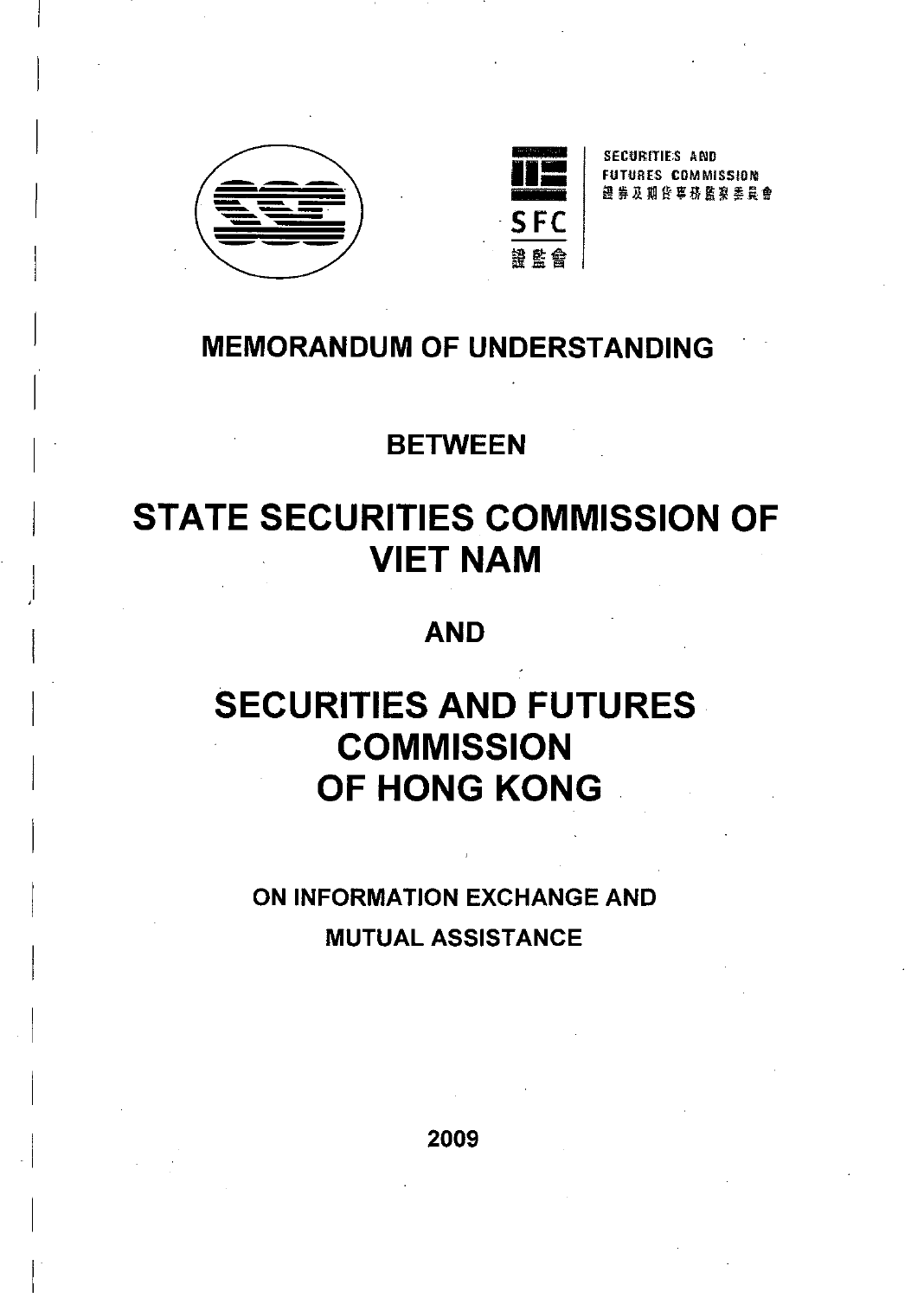

 $\parallel$ 

I

I

I

I

 $\vert$ 

 $\begin{bmatrix} \phantom{-} \\ \phantom{-} \end{bmatrix}$ 

I

I

,I

I

I

I

I

 $\overline{\phantom{a}}$ 

 $\parallel$ 

 $\overline{a}$ 

I

I

I

 $\vert$ 



SECURITIES AND FUTUR ES CDMMISSION! 認 券 及 期 台 事 務 監 寝 季 員 會

## **MEMORANDUM OF UNDERSTANDING**

## **BETWEEN**

# **STATE SECURITIES COMMISSION OF VIET NAM**

## **AND**

# **SECURITIES AND FUTURES COMMISSION OF HONG KONG .**

## **ON INFORMATION EXCHANGE AND MUTUAL ASSISTANCE**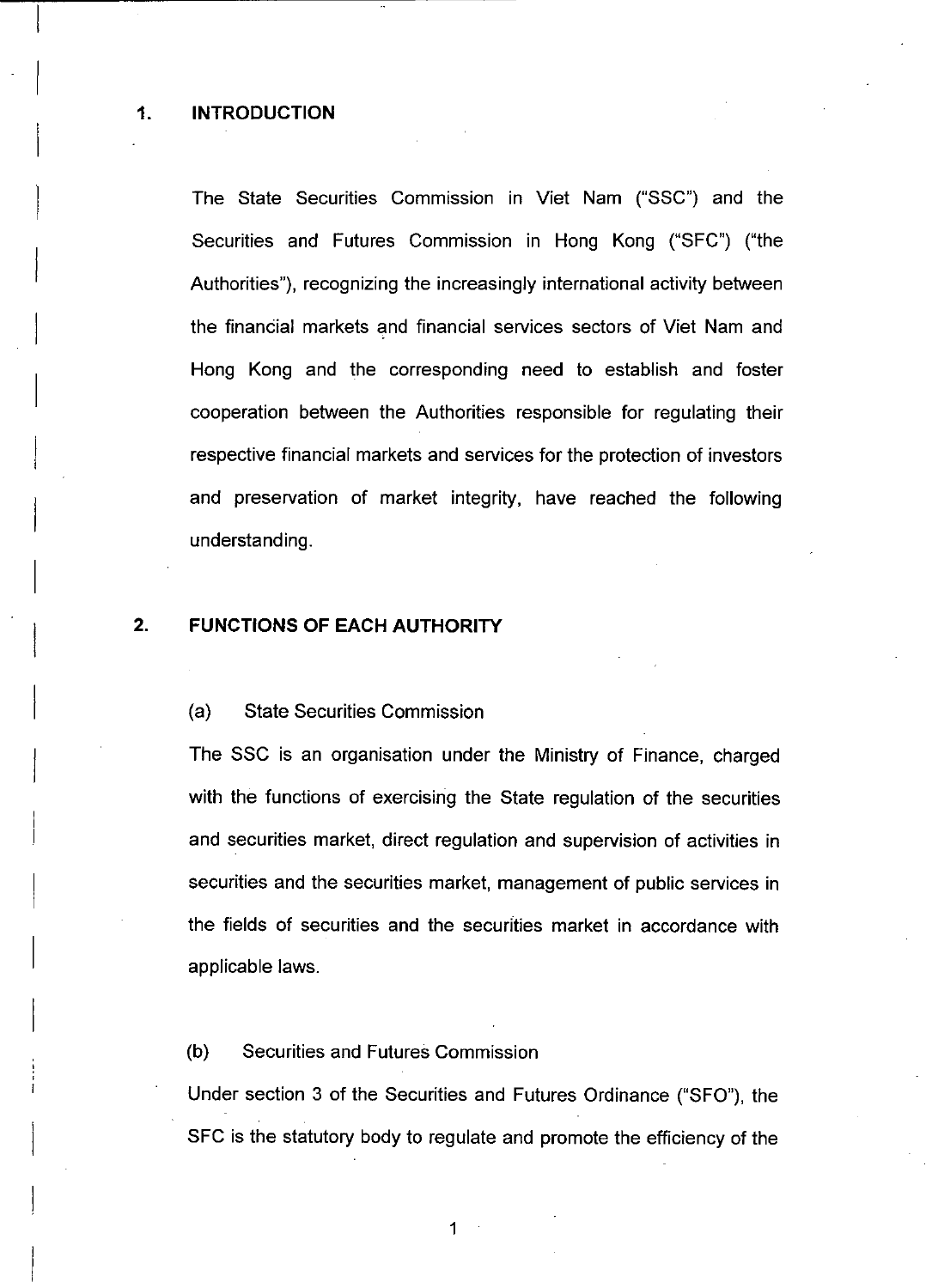The State Securities Commission in Viet Nam ("SSC") and the Securities and Futures Commission in Hong Kong ("SFC") ("the Authorities"), recognizing the increasingly international activity between the financial markets and financial services sectors of Viet Nam and Hong Kong and the corresponding need to establish and foster cooperation between the Authorities responsible for regulating their respective financial markets and services for the protection of investors and preservation of market integrity, have reached the following understanding.

### 2. **FUNCTIONS OF EACH AUTHORITY**

#### (a) State Securities Commission

The SSC is an organisation under the Ministry of Finance, charged with the functions of exercising the State regulation of the securities and securities market, direct regulation and supervision of activities in securities and the securities market, management of public services in the fields of securities and the securities market in accordance with applicable laws.

#### (b) Securities and Futures Commission

Under section 3 of the Securities and Futures Ordinance ("SFO"), the SFC is the statutory body to regulate and promote the efficiency of the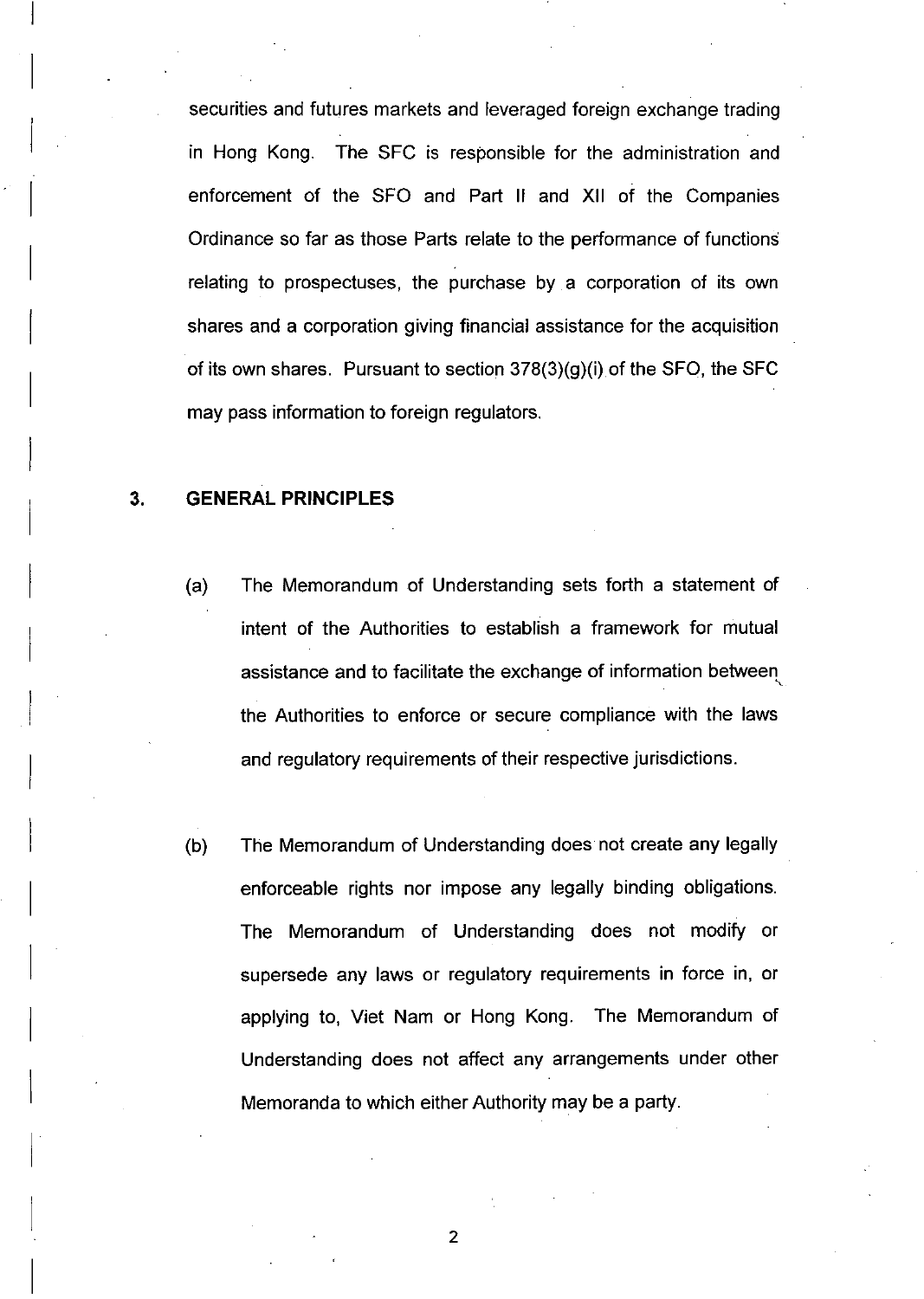securities and futures markets and leveraged foreign exchange trading in Hong Kong. The SFC is responsible for the administration and enforcement of the SFO and Part II and XII of the Companies Ordinance so far as those Parts relate to the performance of functions relating to prospectuses, the purchase by a corporation of its own shares and a corporation giving financial assistance for the acquisition of its own shares. Pursuant to section 378(3)(g)(i) of the SFO, the SFC may pass information to foreign regulators.

#### 3. **GENERAL PRINCIPLES**

- (a) The Memorandum of Understanding sets forth a statement of intent of the Authorities to establish a framework for mutual assistance and to facilitate the exchange of information between the Authorities to enforce or secure compliance with the laws and regulatory requirements of their respective jurisdictions.
- (b) The Memorandum of Understanding does not create any legally enforceable rights nor impose any legally binding obligations. The Memorandum of Understanding does not modify or supersede any laws or regulatory requirements in force in, or applying to, Viet Nam or Hong Kong. The Memorandum of Understanding does not affect any arrangements under other Memoranda to which either Authority may be a party.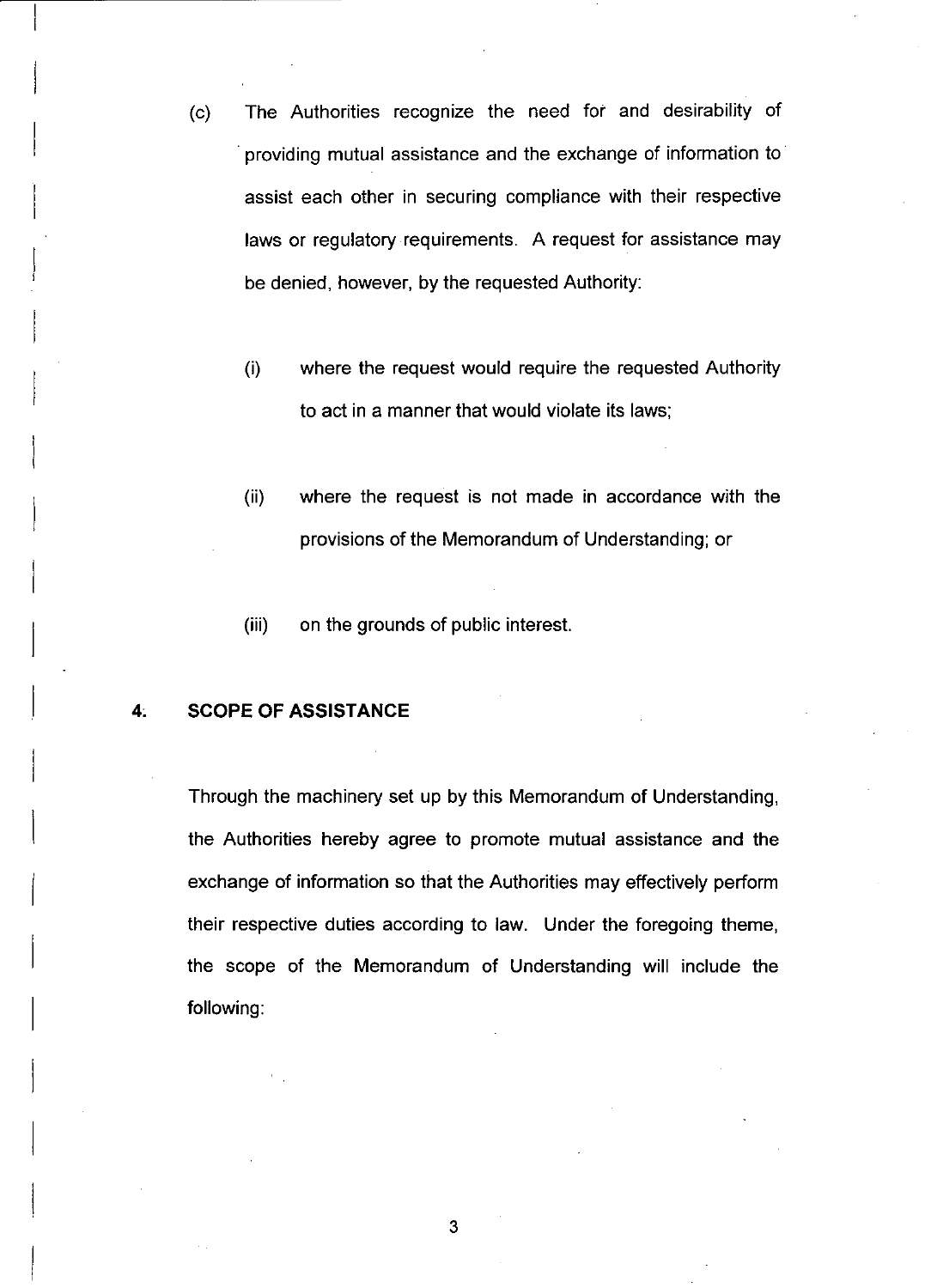- (c) The Authorities recognize the need for and desirability of . providing mutual assistance and the exchange of information to assist each other in securing compliance with their respective laws or regulatory requirements. A request for assistance may be denied, however, by the requested Authority:
	- (i) where the request would require the requested Authority to act in a manner that would violate its laws;
	- (ii) where the request is not made in accordance with the provisions of the Memorandum of Understanding; or
	- (iii) on the grounds of public interest.

#### **4; SCOPE OF ASSISTANCE**

Through the machinery set up by this Memorandum of Understanding, the Authorities hereby agree to promote mutual assistance and the exchange of information so that the Authorities may effectively perform their respective duties according to law. Under the foregoing theme, the scope of the Memorandum of Understanding will include the following: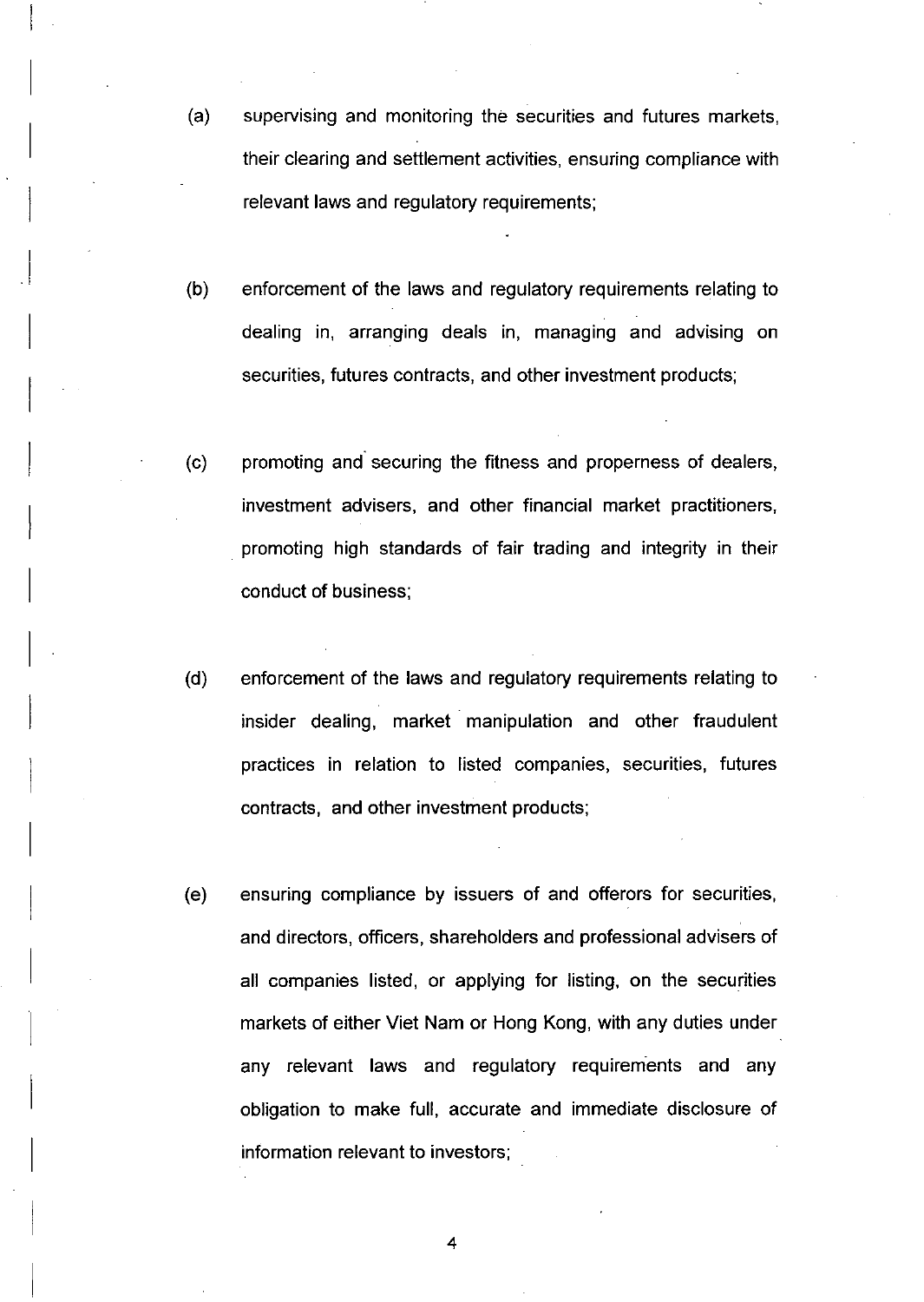(a) supervising and monitoring the securities and futures markets, their clearing and settlement activities, ensuring compliance with relevant laws and regulatory requirements;

I

I

I

 $\vert$ 

 $\parallel$ 

I

I

 $\mid$ 

 $\vert$ 

 $\vert$ 

I

I

 $\overline{ }$ 

I

I

I

I

I

I

I

I

- (b) enforcement of the laws and regulatory requirements relating to dealing in, arranging deals in, managing and advising on securities, futures contracts, and other investment products;
- (c) promoting and" securing the fitness and properness of dealers, investment advisers, and other financial market practitioners, promoting high standards of fair trading and integrity in their conduct of business;
- (d) enforcement of the laws and regulatory requirements relating to insider dealing, market manipulation and other fraudulent practices in relation to listed companies, securities, futures contracts, and other investment products;
- (e) ensuring compliance by issuers of and offerors for securities, and directors, officers, shareholders and professional advisers of all companies listed, or applying for listing, on the securities markets of either Viet Nam or Hong Kong, with any duties under any relevant laws and regulatory requirements and any obligation to make full, accurate and immediate disclosure of information relevant to investors;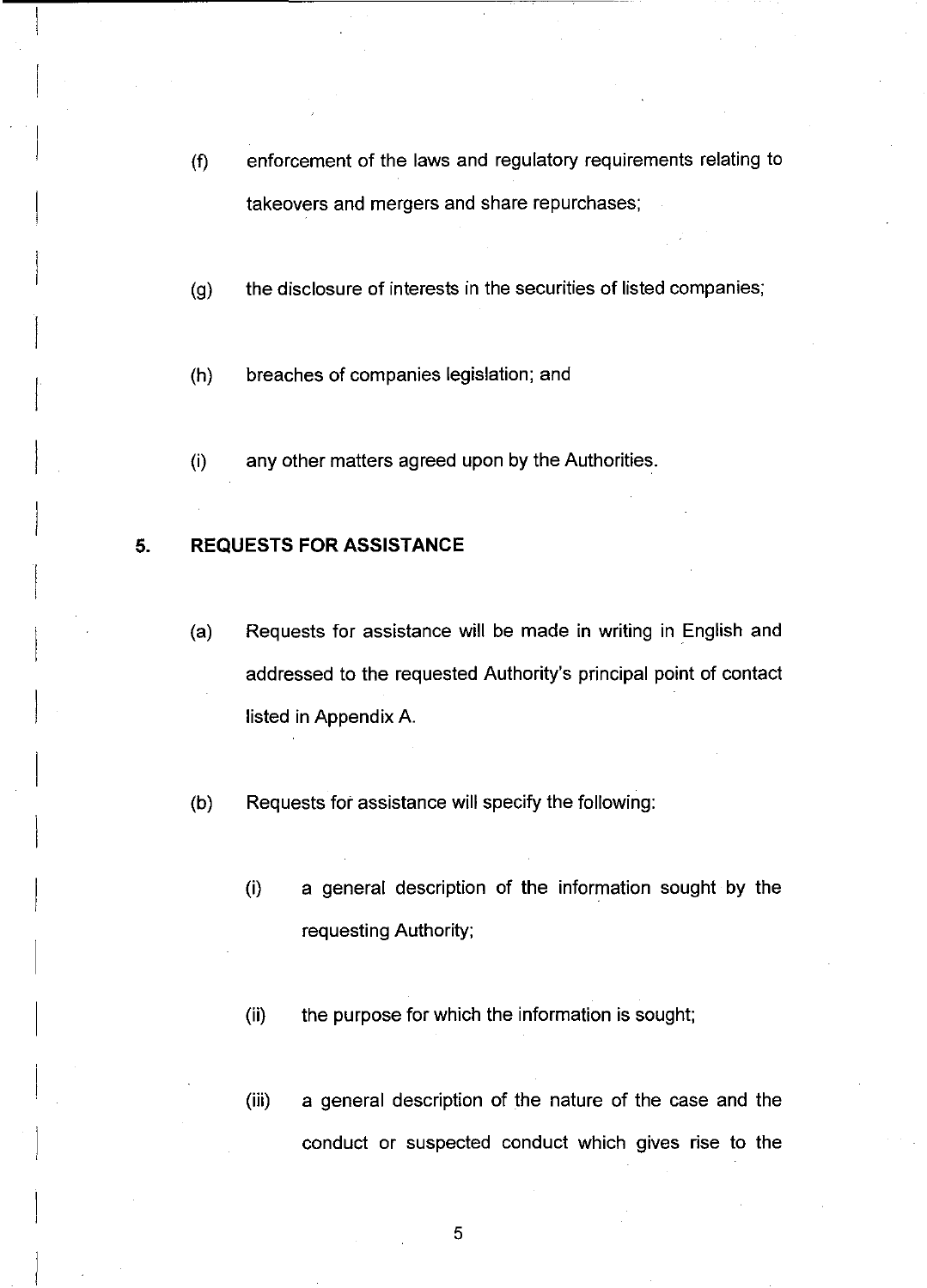- (f) enforcement of the laws and regulatory requirements relating to takeovers and mergers and share repurchases;
- (g) the disclosure of interests in the securities of listed companies;
- (h) breaches of companies legislation; and
- (i) any other matters agreed upon by the Authorities.

#### **5. REQUESTS FOR ASSISTANCE**

- (a) Requests for assistance will be made in writing in English and addressed to the requested Authority's principal point of contact listed in Appendix A.
- (b) Requests for assistance will specify the following:
	- (i) a general description of the information sought by the requesting Authority;
	- (ii) the purpose for which the information is sought;
	- (iii) a general description of the nature of the case and the conduct or suspected conduct which gives rise to the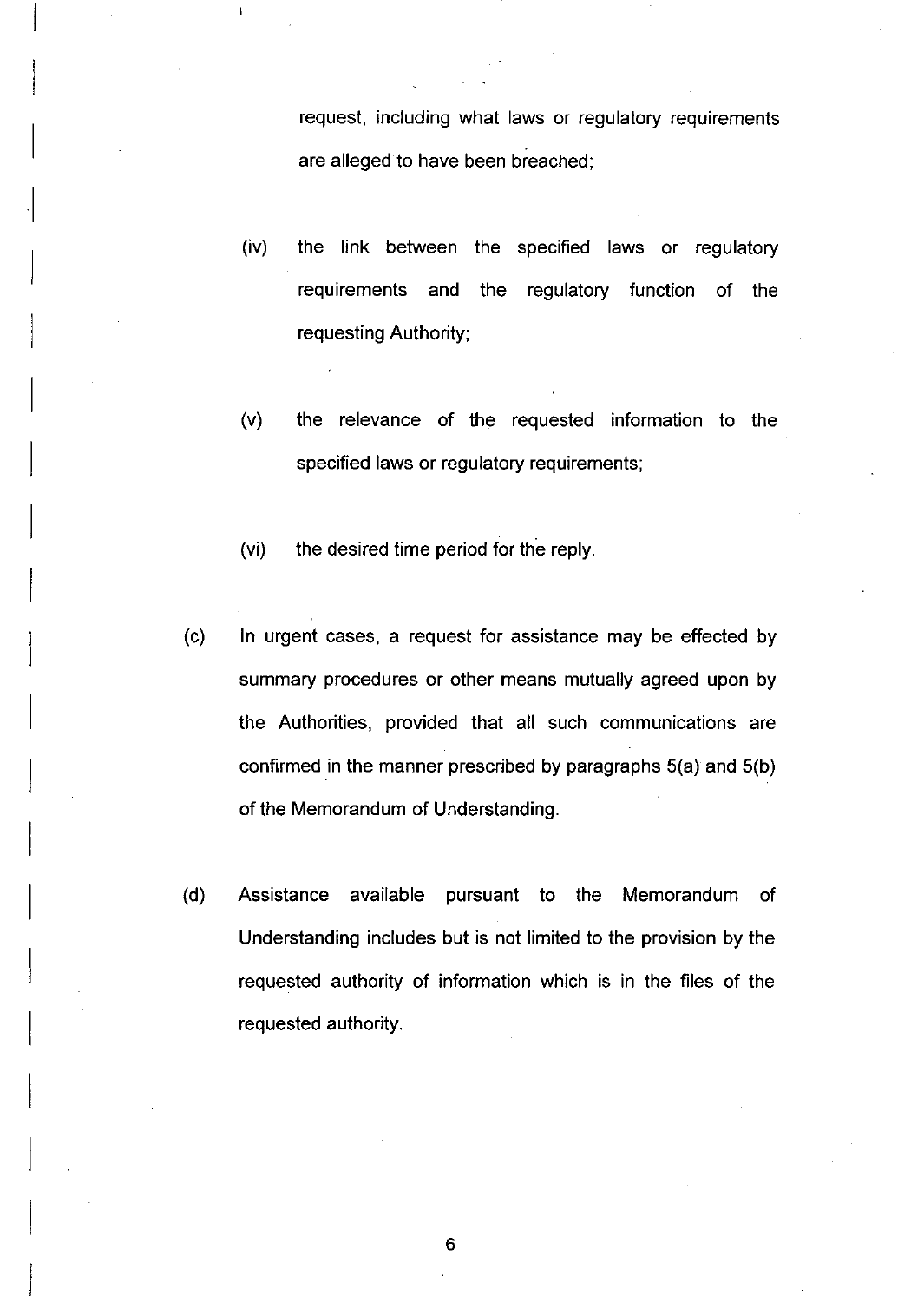request, including what laws or regulatory requirements are alleged to have been breached;

- (iv) the link between the specified laws or regulatory requirements and the regulatory function of the requesting Authority;
- (v) the relevance of the requested information to the specified laws or regulatory requirements;
- (vi) the desired time period for the reply.

 $\parallel$ 

I

I

I

 $\parallel$ 

I

I

I

I

I

I

I

 $\begin{array}{c} \n\end{array}$ 

I

I

I

I

I

 $\vert$ 

I

 $\overline{\phantom{a}}$ 

- (c) In urgent cases, a request for assistance may be effected by summary procedures or other means mutually agreed upon by the Authorities, provided that all such communications are confirmed in the manner prescribed by paragraphs 5(a) and 5(b) of the Memorandum of Understanding.
- (d) Assistance available pursuant to the Memorandum of Understanding includes but is not limited to the provision by the requested authority of information which is in the files of the requested authority.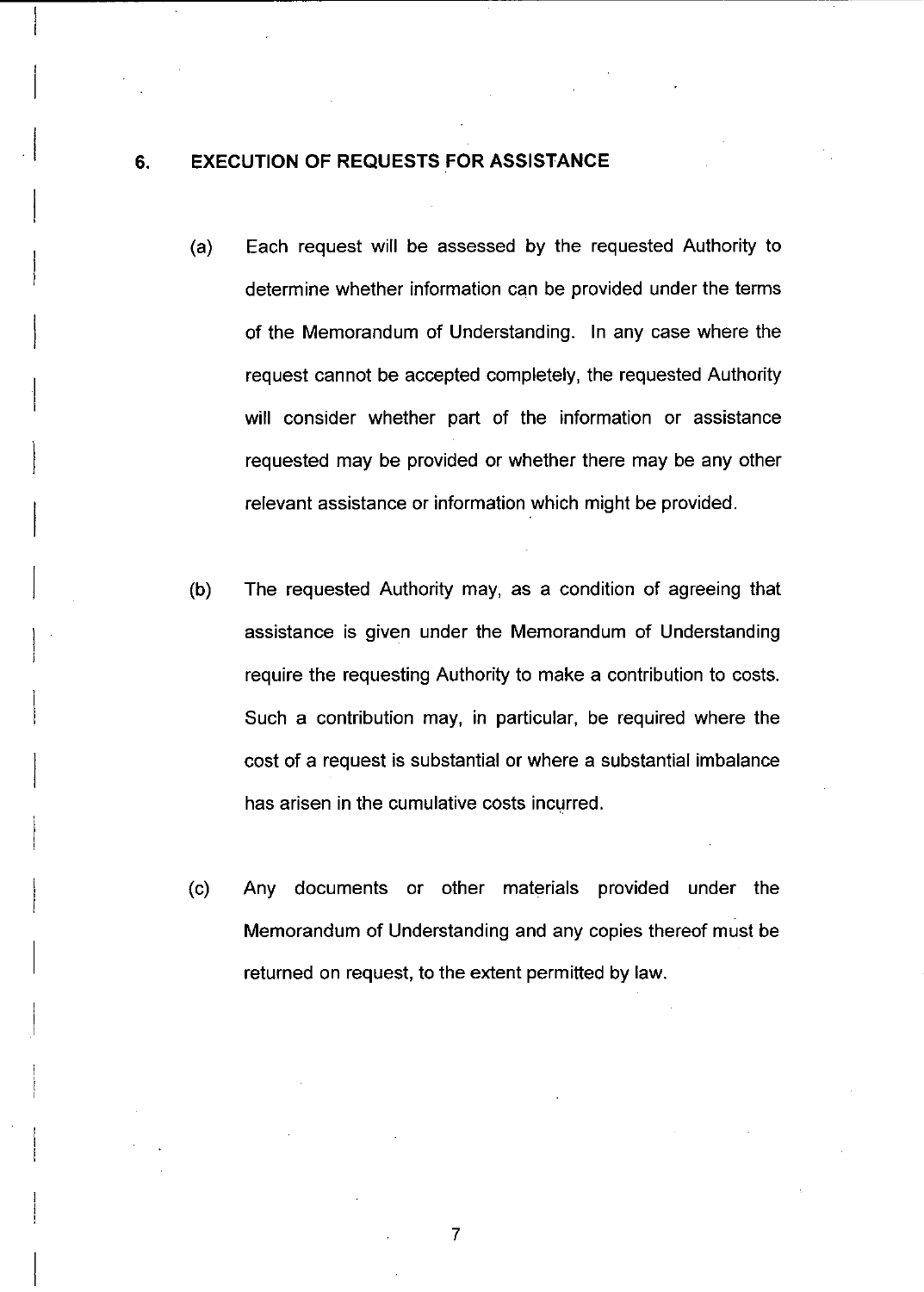#### 6. **EXECUTION OF REQUESTS FOR ASSISTANCE**

I

 $\vert$ 

I

I

I

I

I

 $\mid$ 

 $\overline{\phantom{a}}$ 

 $\overline{\phantom{a}}$ 

I

 $\overline{\phantom{a}}$ 

I

- (a) Each request will be assessed by the requested Authority to determine whether information can be provided under the terms of the Memorandum of Understanding. In any case where the request cannot be accepted completely, the requested Authority will consider whether part of the information or assistance requested may be provided or whether there may be any other relevant assistance or information which might be provided.
- (b) The requested Authority may, as a condition of agreeing that assistance is given under the Memorandum of Understanding require the requesting Authority to make a contribution to costs. Such a contribution may, in particular, be required where the cost of a request is substantial or where a substantial imbalance has arisen in the cumulative costs incurred.
- (c) Any documents or other materials provided under the Memorandum of Understanding and any copies thereof must be returned on request, to the extent permitted by law.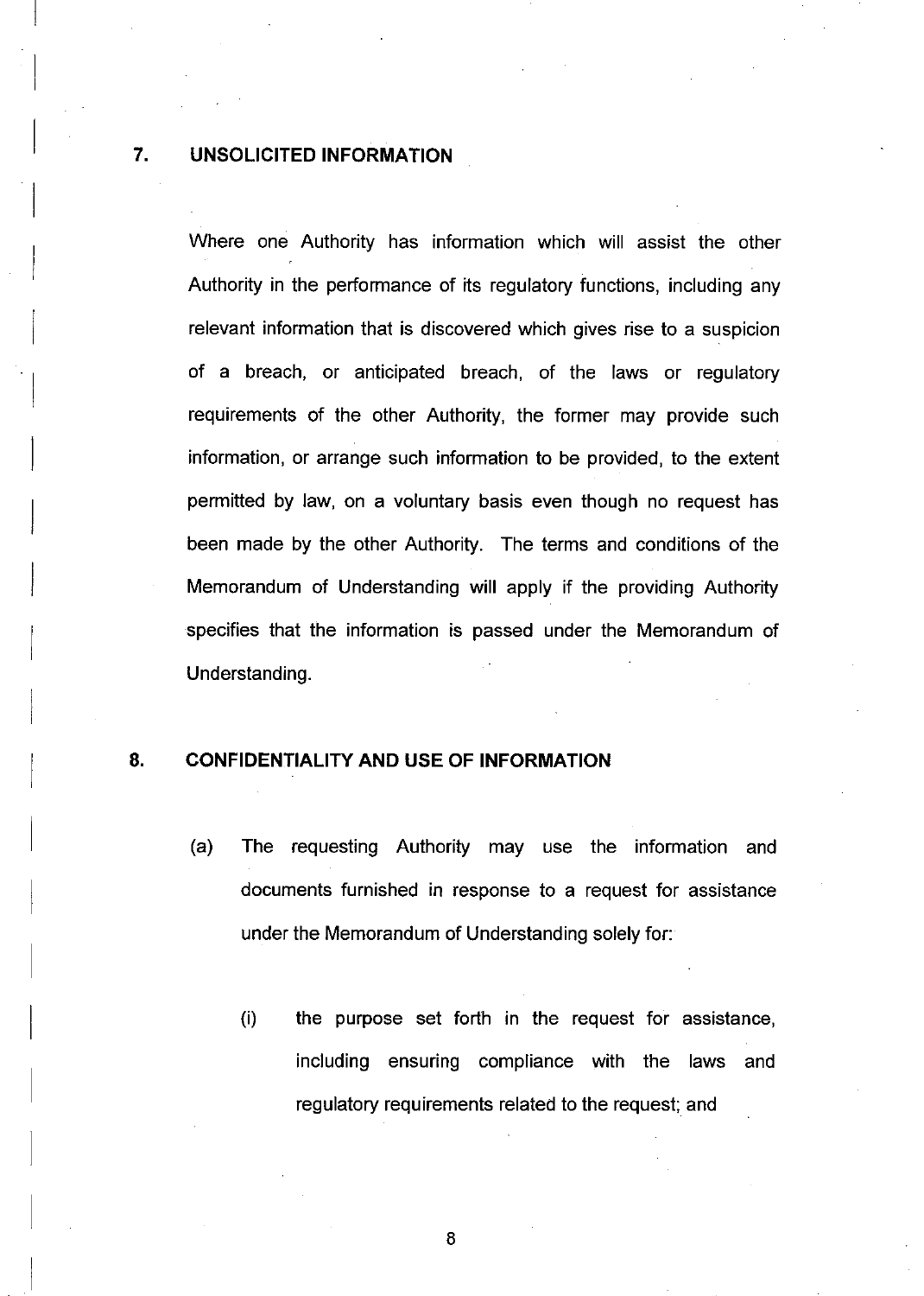#### **7. UNSOLICITED INFORMATION**

 $\vert$ 

I

I

I

 $\overline{\phantom{a}}$ 

I

I

I

I

 $\parallel$ 

 $\vert$ 

 $\parallel$ 

 $\begin{matrix} \phantom{-} \end{matrix}$ 

I

I

I

I

I

 $\overline{\phantom{a}}$ 

 $\overline{\phantom{a}}$ 

I

Where one Authority has information which will assist the other Authority in the performance of its regulatory functions, including any relevant information that is discovered which gives rise to a suspicion of a breach, or anticipated breach, of the laws or regulatory requirements of the other Authority, the former may provide such information, or arrange such information to be provided, to the extent permitted by law, on a voluntary basis even though no request has been made by the other Authority. The terms and conditions of the Memorandum of Understanding will apply if the providing Authority specifies that the information is passed under the Memorandum of Understanding.

#### **8. CONFIDENTIALITY AND USE OF INFORMATION**

- (a) The requesting Authority may use the information and documents furnished in response to a request for assistance under the Memorandum of Understanding solely for:
	- (i) the purpose set forth in the request for assistance, including ensuring compliance with the laws and regulatory requirements related to the request; and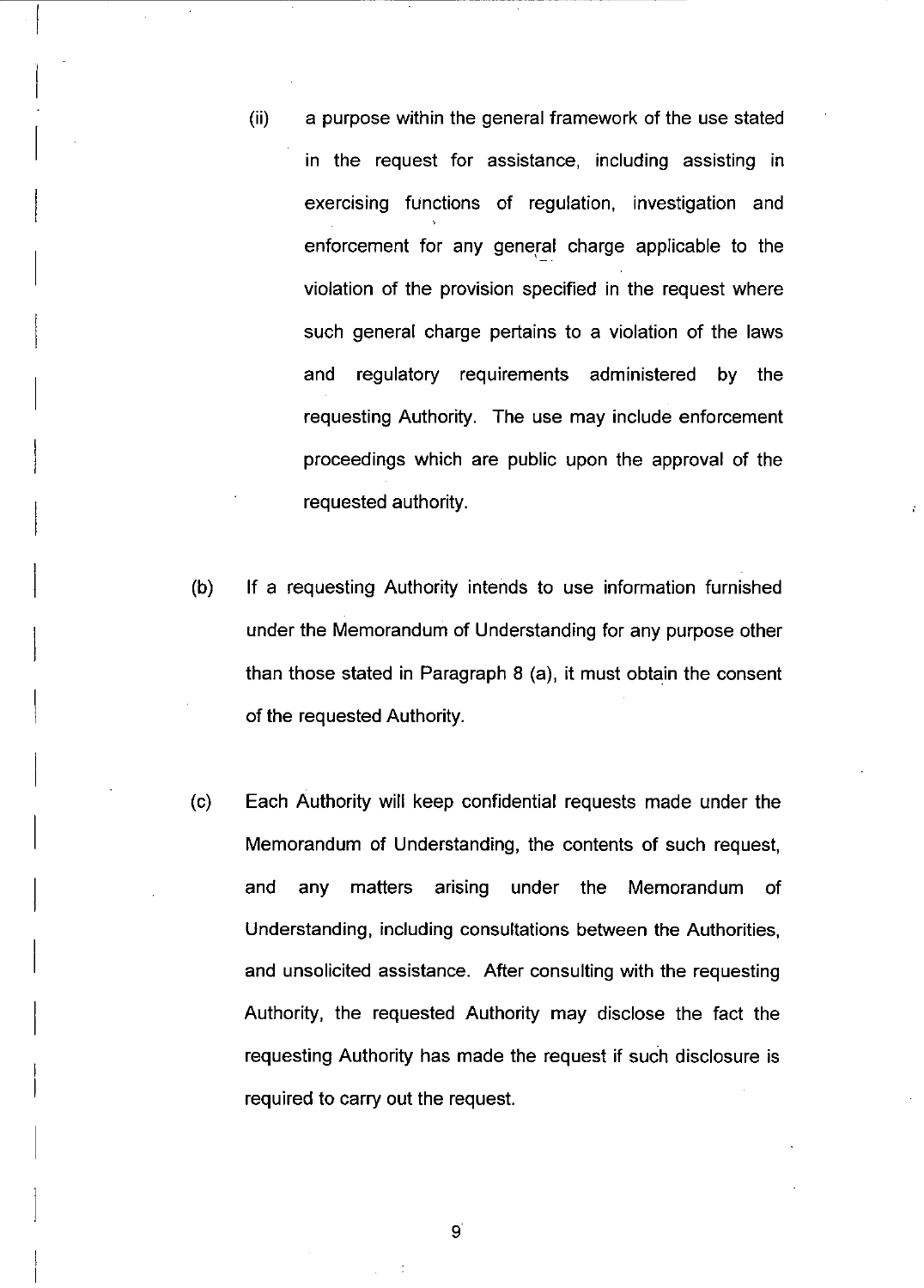- (ii) a purpose within the general framework of the use stated in the request for assistance, including assisting in exercising functions of regulation, investigation and enforcement for any general charge applicable to the violation of the provision specified in the request where such general charge pertains to a violation of the laws and regulatory requirements administered by the requesting Authority. The use may include enforcement proceedings which are public upon the approval of the requested authority.
- (b) **If** a requesting Authority intends to use information furnished under the Memorandum of Understanding for any purpose other than those stated in Paragraph 8 (a), it must obtain the consent of the requested Authority.
- (c) Each Authority will keep confidential requests made under the Memorandum of Understanding, the contents of such request, and any matters arising under the Memorandum of Understanding, including consultations between the Authorities, and unsolicited assistance. After consulting with the requesting Authority, the requested Authority may disclose the fact the requesting Authority has made the request if such disclosure is required to carry out the request.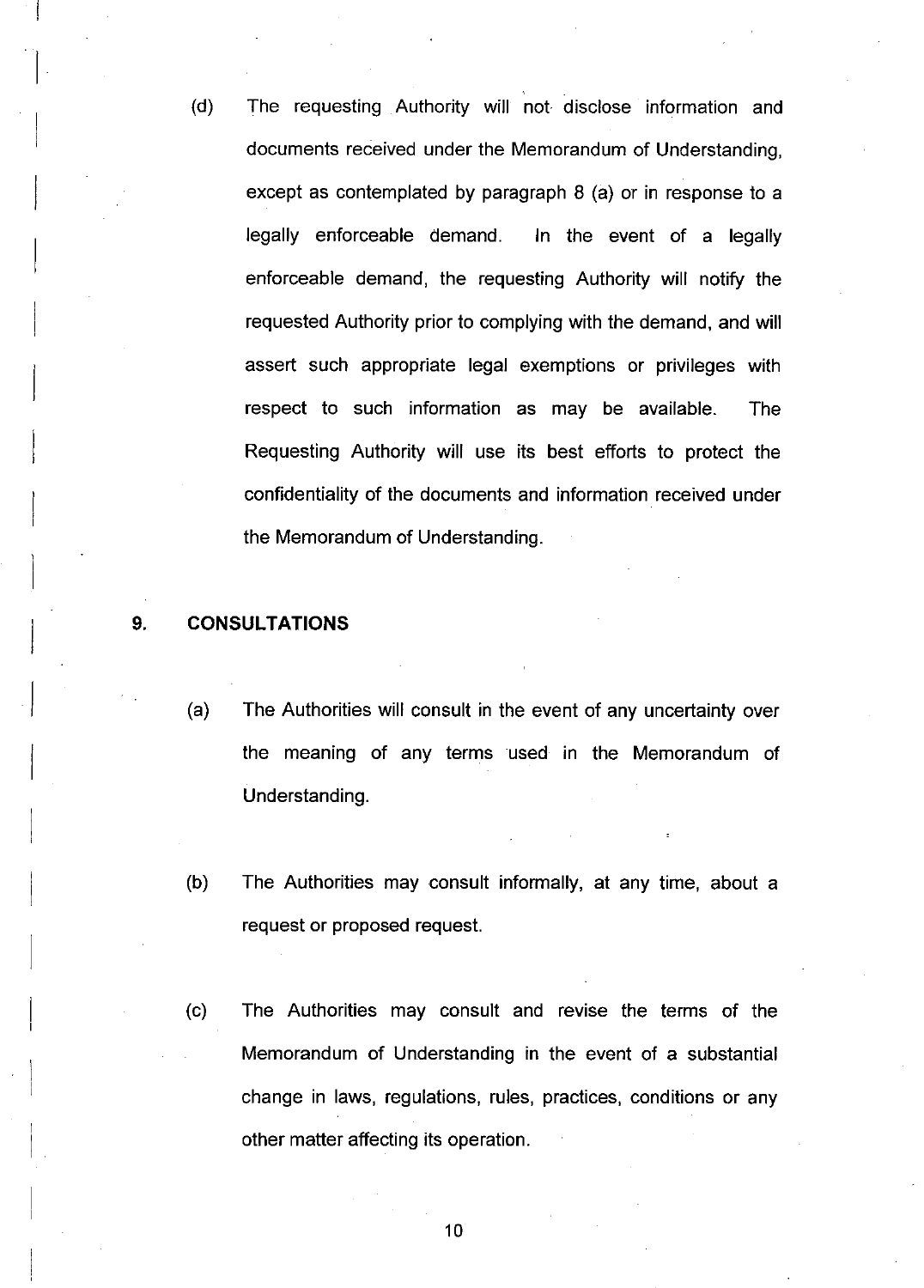(d) The requesting Authority will not disclose information and documents received under the Memorandum of Understanding, except as contemplated by paragraph 8 (a) or in response to a legally enforceable demand. In the event of a legally enforceable demand, the requesting Authority will notify the requested Authority prior to complying with the demand, and will assert such appropriate legal exemptions or privileges with respect to such information as may be available. The Requesting Authority will use its best efforts to protect the confidentiality of the documents and information received under the Memorandum of Understanding.

#### 9. **CONSULTATIONS**

I

I

 $\overline{\phantom{a}}$ 

I

I

 $\vert$ 

 $\vert$ 

 $\vert$ 

 $\begin{bmatrix} 1 & 1 \\ 1 & 1 \end{bmatrix}$ 

I

I

 $\parallel$ 

I

 $\vert$ 

 $\vert$ 

- (a) The Authorities will consult in the event of any uncertainty over the meaning of any terms used in the Memorandum of Understanding.
- (b) The Authorities may consult informally, at any time, about a request or proposed request.
- (c) The Authorities may consult and revise the terms of the Memorandum of Understanding in the event of a substantial change in laws, regulations, rules, practices, conditions or any other matter affecting its operation.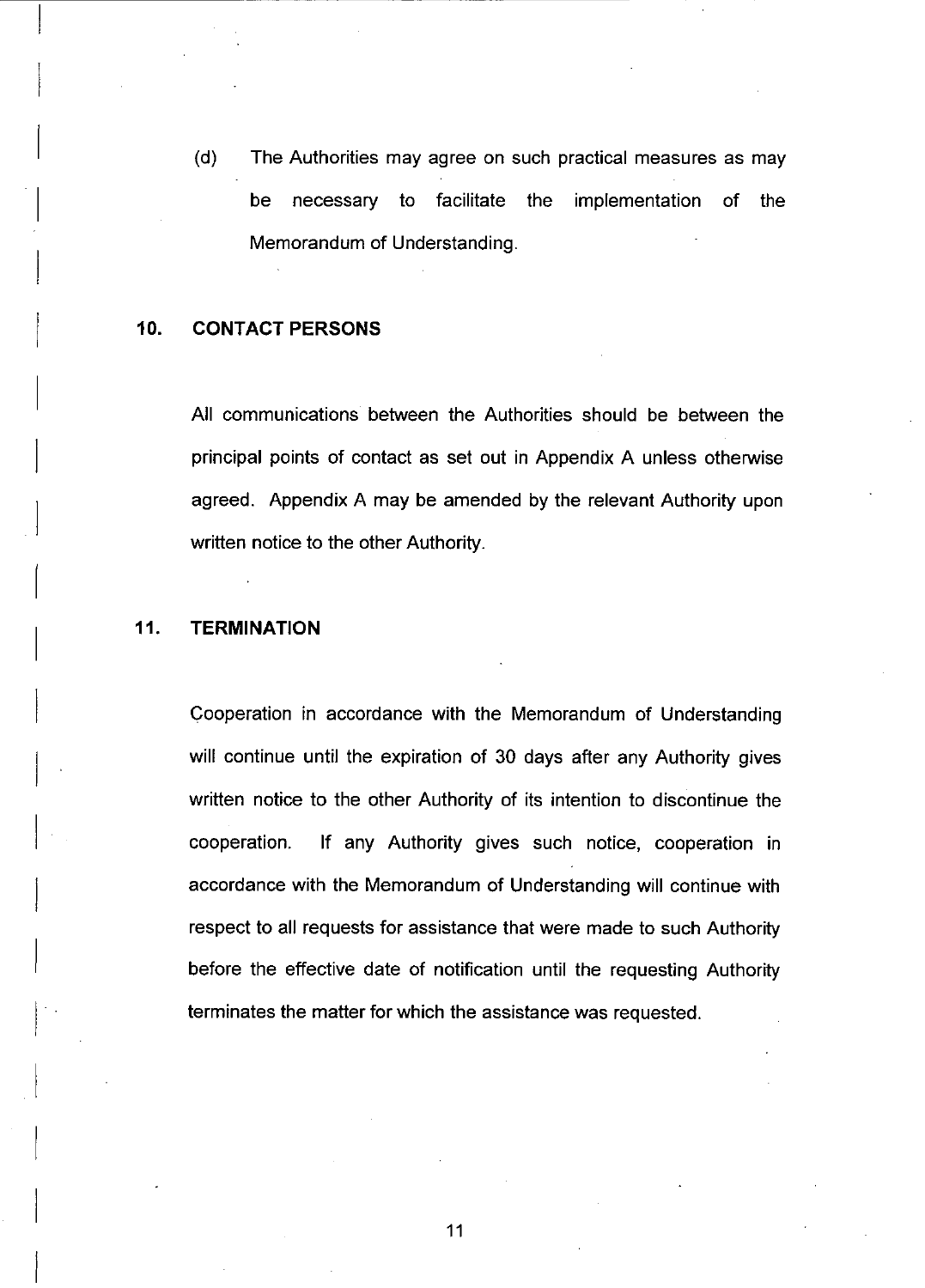(d) The Authorities may agree on such practical measures as may be necessary to facilitate the implementation of the Memorandum of Understanding.

#### **10. CONTACT PERSONS**

 $\vert$ 

 $\overline{\phantom{a}}$ 

 $\vert$ 

I

I

 $\overline{\phantom{a}}$ 

I

 $\vert$ 

 $\vert$ 

 $\vert$ 

I

 $\vert$ 

 $\vert$ 

I

I

I

I

I

I

I

I

All communications between the Authorities should be between the principal points of contact as set out in Appendix A unless otherwise agreed. Appendix A may be amended by the relevant Authority upon written notice to the other Authority.

#### **11. TERMINATION**

Cooperation in accordance with the Memorandum of Understanding will continue until the expiration of 30 days after any Authority gives written notice to the other Authority of its intention to discontinue the cooperation. If any Authority gives such notice, cooperation in accordance with the Memorandum of Understanding will continue with respect to all requests for assistance that were made to such Authority before the effective date of notification until the requesting Authority terminates the matter for which the assistance was requested.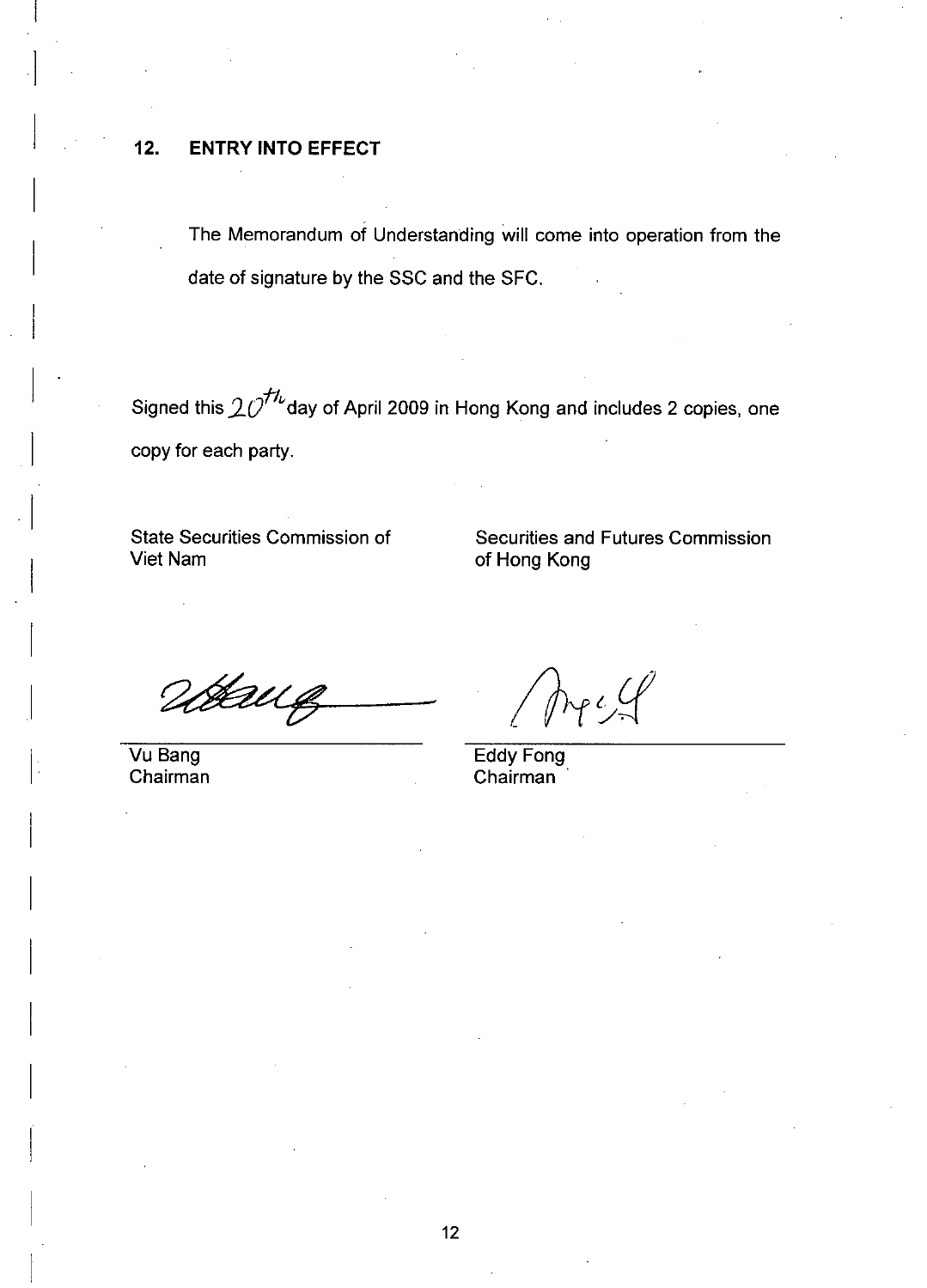## **12. ENTRY INTO EFFECT**

 $\Bigg\}$ 

 $\vert$ 

I

I

I

 $\vert$ 

 $\vert$ 

 $\begin{bmatrix} 1 & 1 \\ 1 & 1 \end{bmatrix}$ 

I

 $\vert$ 

I

I

 $\parallel$ 

I

I

I

I

I

 $\overline{\phantom{a}}$ 

 $\Bigg\}$ 

date of signature by the SSC and the SFC. The Memorandum of Understanding will come into operation from the

Signed this  $20^{H<sub>b</sub>}$  day of April 2009 in Hong Kong and includes 2 copies, one copy for each party.

State Securities Commission of Viet Nam

Securities and Futures Commission of Hong Kong

Værug

Vu Bang Chairman

Eddy Fong Chairman